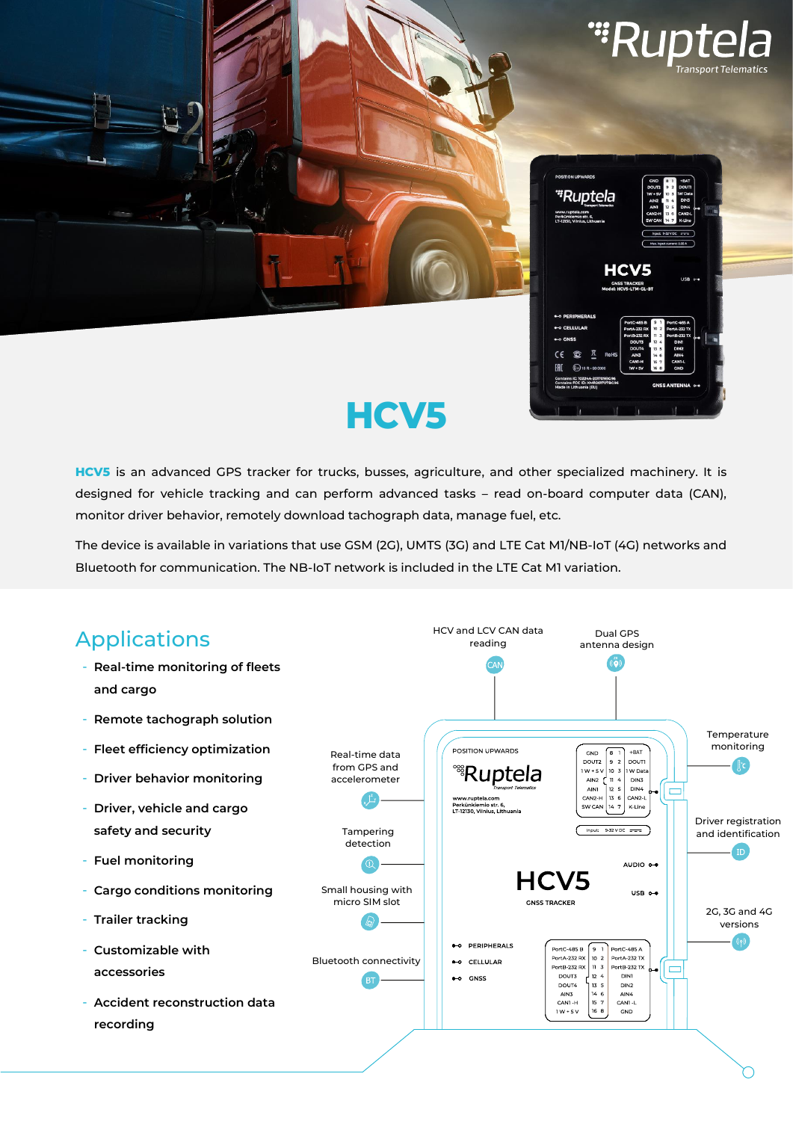



# **HCV5**

**HCV5** is an advanced GPS tracker for trucks, busses, agriculture, and other specialized machinery. It is designed for vehicle tracking and can perform advanced tasks – read on-board computer data (CAN), monitor driver behavior, remotely download tachograph data, manage fuel, etc.

The device is available in variations that use GSM (2G), UMTS (3G) and LTE Cat M1/NB-IoT (4G) networks and Bluetooth for communication. The NB-IoT network is included in the LTE Cat M1 variation.

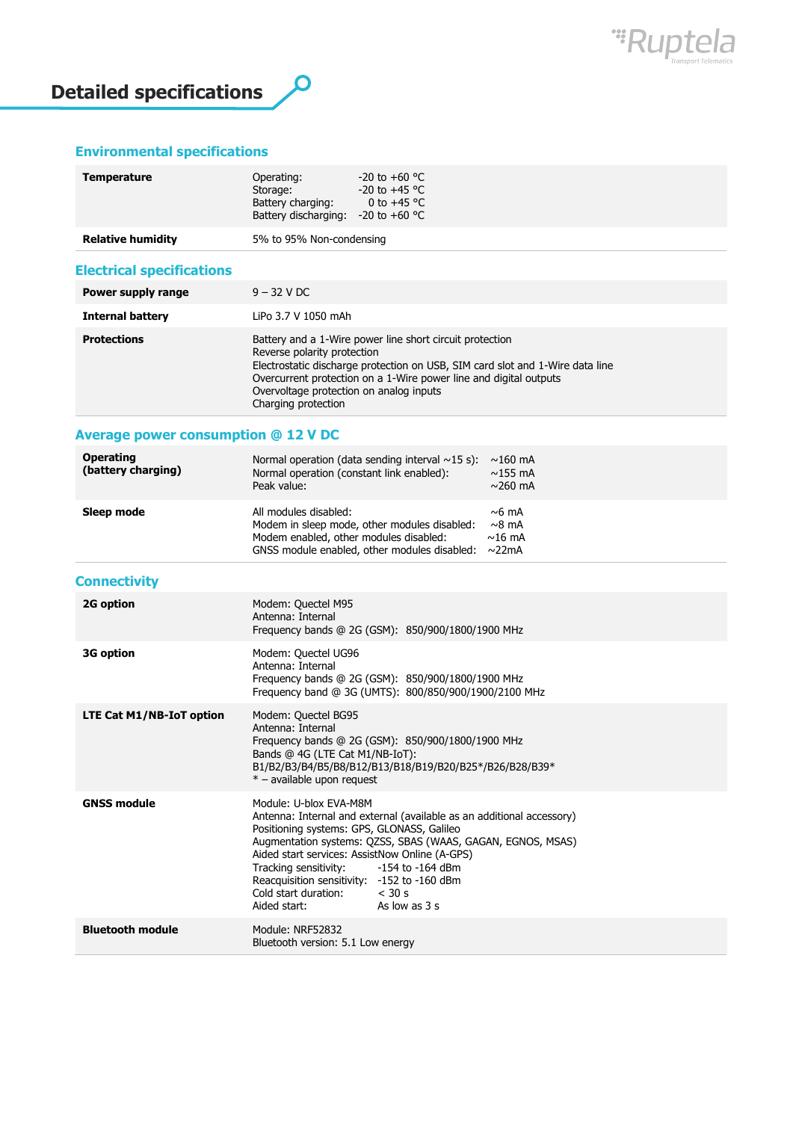



### **Environmental specifications**

| Temperature              | $-20$ to $+60$ °C<br>Operating:<br>$-20$ to $+45$ °C<br>Storage:<br>Battery charging:<br>0 to +45 $^{\circ}$ C<br>Battery discharging:<br>$-20$ to $+60$ °C |  |
|--------------------------|-------------------------------------------------------------------------------------------------------------------------------------------------------------|--|
| <b>Relative humidity</b> | 5% to 95% Non-condensing                                                                                                                                    |  |

### **Electrical specifications**

| Power supply range      | $9 - 32$ V DC                                                                                                                                                                                                                                                                                                   |
|-------------------------|-----------------------------------------------------------------------------------------------------------------------------------------------------------------------------------------------------------------------------------------------------------------------------------------------------------------|
| <b>Internal battery</b> | LiPo 3.7 V 1050 mAh                                                                                                                                                                                                                                                                                             |
| <b>Protections</b>      | Battery and a 1-Wire power line short circuit protection<br>Reverse polarity protection<br>Electrostatic discharge protection on USB, SIM card slot and 1-Wire data line<br>Overcurrent protection on a 1-Wire power line and digital outputs<br>Overvoltage protection on analog inputs<br>Charging protection |

### **Average power consumption @ 12 V DC**

| <b>Operating</b><br>(battery charging) | Normal operation (data sending interval $\sim$ 15 s):<br>Normal operation (constant link enabled):<br>Peak value:                                                     | $\sim$ 160 mA<br>$\sim$ 155 mA<br>$\sim$ 260 mA |
|----------------------------------------|-----------------------------------------------------------------------------------------------------------------------------------------------------------------------|-------------------------------------------------|
| Sleep mode                             | All modules disabled:<br>Modem in sleep mode, other modules disabled:<br>Modem enabled, other modules disabled:<br>GNSS module enabled, other modules disabled: ~22mA | $\sim$ 6 mA<br>$\sim$ 8 mA<br>$\sim$ 16 mA      |

## **Connectivity**

| 2G option                | Modem: Quectel M95<br>Antenna: Internal<br>Frequency bands @ 2G (GSM): 850/900/1800/1900 MHz                                                                                                                                                                                                                                                                                                                              |
|--------------------------|---------------------------------------------------------------------------------------------------------------------------------------------------------------------------------------------------------------------------------------------------------------------------------------------------------------------------------------------------------------------------------------------------------------------------|
| 3G option                | Modem: Quectel UG96<br>Antenna: Internal<br>Frequency bands @ 2G (GSM): 850/900/1800/1900 MHz<br>Frequency band @ 3G (UMTS): 800/850/900/1900/2100 MHz                                                                                                                                                                                                                                                                    |
| LTE Cat M1/NB-IoT option | Modem: Quectel BG95<br>Antenna: Internal<br>Frequency bands @ 2G (GSM): 850/900/1800/1900 MHz<br>Bands @ 4G (LTE Cat M1/NB-IoT):<br>B1/B2/B3/B4/B5/B8/B12/B13/B18/B19/B20/B25*/B26/B28/B39*<br>* - available upon request                                                                                                                                                                                                 |
| <b>GNSS module</b>       | Module: U-blox FVA-M8M<br>Antenna: Internal and external (available as an additional accessory)<br>Positioning systems: GPS, GLONASS, Galileo<br>Augmentation systems: QZSS, SBAS (WAAS, GAGAN, EGNOS, MSAS)<br>Aided start services: AssistNow Online (A-GPS)<br>Tracking sensitivity: -154 to -164 dBm<br>Reacquisition sensitivity: -152 to -160 dBm<br>Cold start duration: $<$ 30 s<br>As low as 3 s<br>Aided start: |
| <b>Bluetooth module</b>  | Module: NRF52832<br>Bluetooth version: 5.1 Low energy                                                                                                                                                                                                                                                                                                                                                                     |